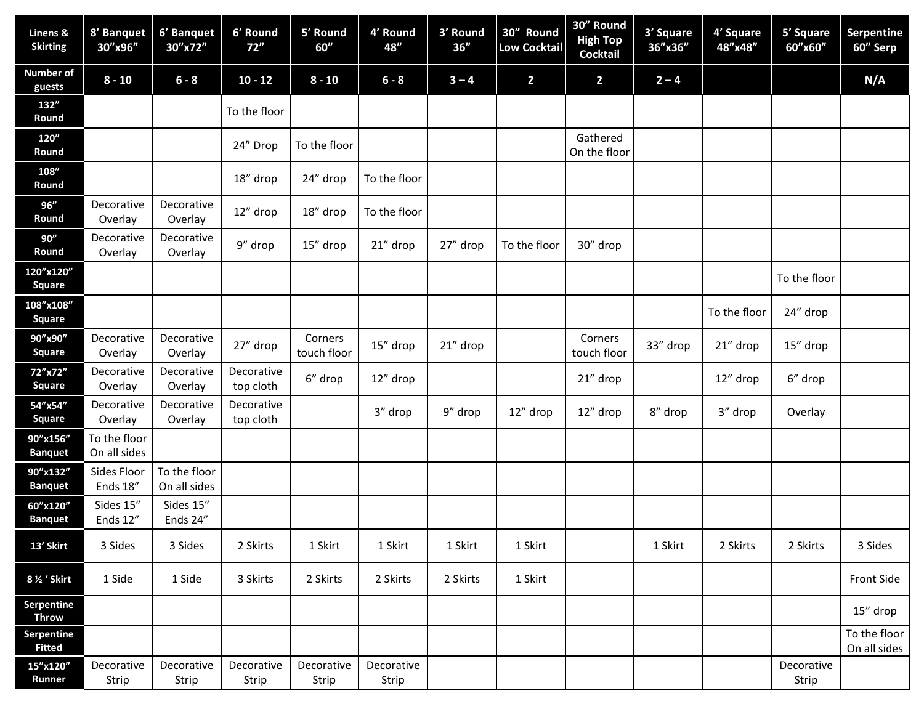| Linens &<br><b>Skirting</b> | 8' Banquet<br>30"x96"        | 6' Banquet<br>30"x72"        | 6' Round<br>72"         | 5' Round<br>60''       | 4' Round<br>48"     | 3' Round<br>36'' | 30" Round<br><b>Low Cocktail</b> | 30" Round<br><b>High Top</b><br>Cocktail | 3' Square<br>36"x36" | 4' Square<br>48"x48" | 5' Square<br>60"x60" | Serpentine<br>60" Serp       |
|-----------------------------|------------------------------|------------------------------|-------------------------|------------------------|---------------------|------------------|----------------------------------|------------------------------------------|----------------------|----------------------|----------------------|------------------------------|
| <b>Number of</b><br>guests  | $8 - 10$                     | $6 - 8$                      | $10 - 12$               | $8 - 10$               | $6 - 8$             | $3 - 4$          | $\overline{\mathbf{2}}$          | $\overline{2}$                           | $2 - 4$              |                      |                      | N/A                          |
| 132"<br>Round               |                              |                              | To the floor            |                        |                     |                  |                                  |                                          |                      |                      |                      |                              |
| 120"<br>Round               |                              |                              | 24" Drop                | To the floor           |                     |                  |                                  | Gathered<br>On the floor                 |                      |                      |                      |                              |
| 108"<br>Round               |                              |                              | 18" drop                | 24" drop               | To the floor        |                  |                                  |                                          |                      |                      |                      |                              |
| 96"<br>Round                | Decorative<br>Overlay        | Decorative<br>Overlay        | 12" drop                | 18" drop               | To the floor        |                  |                                  |                                          |                      |                      |                      |                              |
| 90"<br>Round                | Decorative<br>Overlay        | Decorative<br>Overlay        | 9" drop                 | 15" drop               | 21" drop            | 27" drop         | To the floor                     | 30" drop                                 |                      |                      |                      |                              |
| 120"x120"<br>Square         |                              |                              |                         |                        |                     |                  |                                  |                                          |                      |                      | To the floor         |                              |
| 108"x108"<br>Square         |                              |                              |                         |                        |                     |                  |                                  |                                          |                      | To the floor         | 24" drop             |                              |
| 90"x90"<br>Square           | Decorative<br>Overlay        | Decorative<br>Overlay        | 27" drop                | Corners<br>touch floor | 15" drop            | 21" drop         |                                  | Corners<br>touch floor                   | 33" drop             | 21" drop             | 15" drop             |                              |
| 72"x72"<br>Square           | Decorative<br>Overlay        | Decorative<br>Overlay        | Decorative<br>top cloth | 6" drop                | 12" drop            |                  |                                  | 21" drop                                 |                      | 12" drop             | 6" drop              |                              |
| 54"x54"<br><b>Square</b>    | Decorative<br>Overlay        | Decorative<br>Overlay        | Decorative<br>top cloth |                        | 3" drop             | 9" drop          | 12" drop                         | 12" drop                                 | 8" drop              | 3" drop              | Overlay              |                              |
| 90"x156"<br><b>Banquet</b>  | To the floor<br>On all sides |                              |                         |                        |                     |                  |                                  |                                          |                      |                      |                      |                              |
| 90"x132"<br><b>Banquet</b>  | Sides Floor<br>Ends 18"      | To the floor<br>On all sides |                         |                        |                     |                  |                                  |                                          |                      |                      |                      |                              |
| 60"x120"<br><b>Banquet</b>  | Sides 15"<br>Ends 12"        | Sides 15"<br>Ends 24"        |                         |                        |                     |                  |                                  |                                          |                      |                      |                      |                              |
| 13' Skirt                   | 3 Sides                      | 3 Sides                      | 2 Skirts                | 1 Skirt                | 1 Skirt             | 1 Skirt          | 1 Skirt                          |                                          | 1 Skirt              | 2 Skirts             | 2 Skirts             | 3 Sides                      |
| 8 1/2 ' Skirt               | 1 Side                       | 1 Side                       | 3 Skirts                | 2 Skirts               | 2 Skirts            | 2 Skirts         | 1 Skirt                          |                                          |                      |                      |                      | Front Side                   |
| Serpentine<br><b>Throw</b>  |                              |                              |                         |                        |                     |                  |                                  |                                          |                      |                      |                      | 15" drop                     |
| Serpentine<br><b>Fitted</b> |                              |                              |                         |                        |                     |                  |                                  |                                          |                      |                      |                      | To the floor<br>On all sides |
| 15"x120"<br>Runner          | Decorative<br>Strip          | Decorative<br>Strip          | Decorative<br>Strip     | Decorative<br>Strip    | Decorative<br>Strip |                  |                                  |                                          |                      |                      | Decorative<br>Strip  |                              |